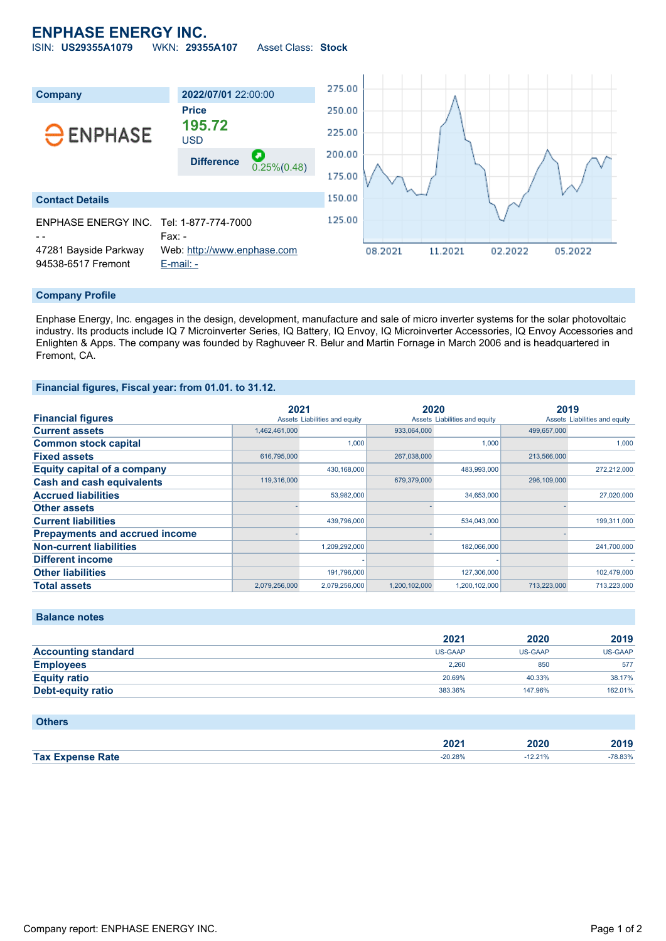## **ENPHASE ENERGY INC.**

ISIN: **US29355A1079** WKN: **29355A107** Asset Class: **Stock**



### **Company Profile**

Enphase Energy, Inc. engages in the design, development, manufacture and sale of micro inverter systems for the solar photovoltaic industry. Its products include IQ 7 Microinverter Series, IQ Battery, IQ Envoy, IQ Microinverter Accessories, IQ Envoy Accessories and Enlighten & Apps. The company was founded by Raghuveer R. Belur and Martin Fornage in March 2006 and is headquartered in Fremont, CA.

## **Financial figures, Fiscal year: from 01.01. to 31.12.**

|                                       | 2021          |                               | 2020          |                               | 2019        |                               |
|---------------------------------------|---------------|-------------------------------|---------------|-------------------------------|-------------|-------------------------------|
| <b>Financial figures</b>              |               | Assets Liabilities and equity |               | Assets Liabilities and equity |             | Assets Liabilities and equity |
| <b>Current assets</b>                 | 1,462,461,000 |                               | 933.064.000   |                               | 499.657.000 |                               |
| <b>Common stock capital</b>           |               | 1,000                         |               | 1,000                         |             | 1.000                         |
| <b>Fixed assets</b>                   | 616,795,000   |                               | 267,038,000   |                               | 213,566,000 |                               |
| <b>Equity capital of a company</b>    |               | 430,168,000                   |               | 483,993,000                   |             | 272,212,000                   |
| <b>Cash and cash equivalents</b>      | 119,316,000   |                               | 679,379,000   |                               | 296,109,000 |                               |
| <b>Accrued liabilities</b>            |               | 53,982,000                    |               | 34,653,000                    |             | 27,020,000                    |
| <b>Other assets</b>                   |               |                               |               |                               |             |                               |
| <b>Current liabilities</b>            |               | 439,796,000                   |               | 534,043,000                   |             | 199,311,000                   |
| <b>Prepayments and accrued income</b> |               |                               |               |                               |             |                               |
| <b>Non-current liabilities</b>        |               | 1,209,292,000                 |               | 182,066,000                   |             | 241,700,000                   |
| <b>Different income</b>               |               |                               |               |                               |             |                               |
| <b>Other liabilities</b>              |               | 191,796,000                   |               | 127,306,000                   |             | 102,479,000                   |
| <b>Total assets</b>                   | 2,079,256,000 | 2,079,256,000                 | 1,200,102,000 | 1,200,102,000                 | 713.223.000 | 713.223.000                   |

**Balance notes**

**Others**

|                            | 2021    | 2020    | 2019    |
|----------------------------|---------|---------|---------|
| <b>Accounting standard</b> | US-GAAP | US-GAAP | US-GAAP |
| <b>Employees</b>           | 2,260   | 850     | 577     |
| <b>Equity ratio</b>        | 20.69%  | 40.33%  | 38.17%  |
| <b>Debt-equity ratio</b>   | 383.36% | 147.96% | 162.01% |

| <b>PUILTS</b>           |           |        |        |
|-------------------------|-----------|--------|--------|
|                         |           |        |        |
|                         | 2021      | 2020   | 2019   |
| <b>Tax Expense Rate</b> | $-20.28%$ | 12.21% | 78.83% |